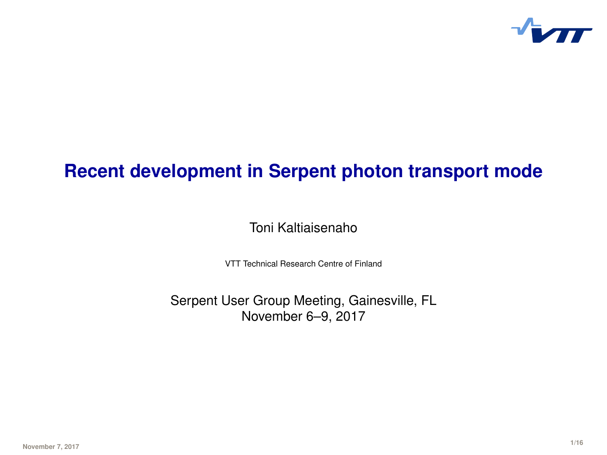

# **Recent development in Serpent photon transport mode**

Toni Kaltiaisenaho

VTT Technical Research Centre of Finland

Serpent User Group Meeting, Gainesville, FL November 6–9, 2017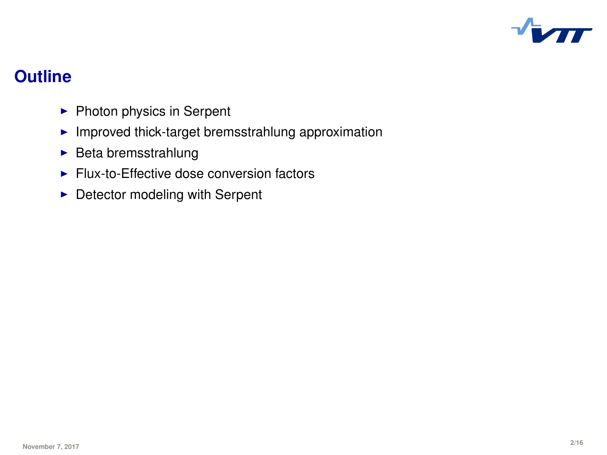

# **Outline**

- $\blacktriangleright$  Photon physics in Serpent
- $\blacktriangleright$  Improved thick-target bremsstrahlung approximation
- $\blacktriangleright$  Beta bremsstrahlung
- $\blacktriangleright$  Flux-to-Effective dose conversion factors
- $\blacktriangleright$  Detector modeling with Serpent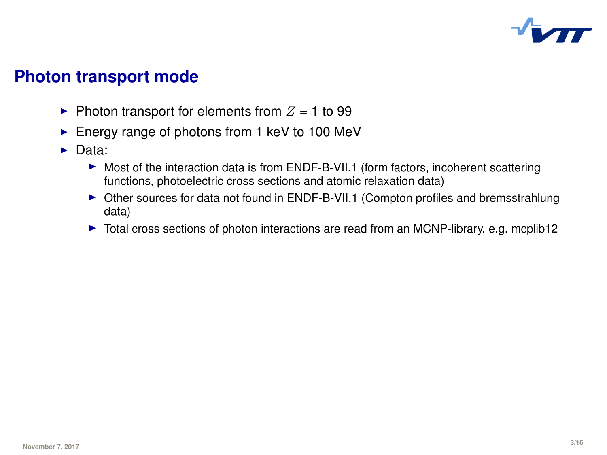

## **Photon transport mode**

- $\blacktriangleright$  Photon transport for elements from  $Z = 1$  to 99
- $\blacktriangleright$  Energy range of photons from 1 keV to 100 MeV
- $\triangleright$  Data:
	- $\triangleright$  Most of the interaction data is from ENDF-B-VII.1 (form factors, incoherent scattering functions, photoelectric cross sections and atomic relaxation data)
	- ▶ Other sources for data not found in ENDF-B-VII.1 (Compton profiles and bremsstrahlung data)
	- $\triangleright$  Total cross sections of photon interactions are read from an MCNP-library, e.g. mcplib12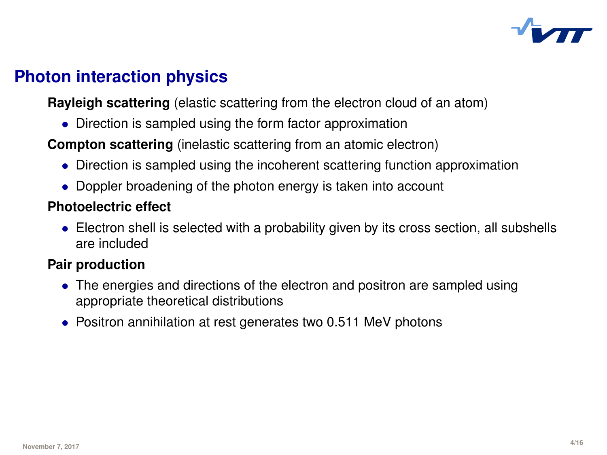

# **Photon interaction physics**

**Rayleigh scattering** (elastic scattering from the electron cloud of an atom)

• Direction is sampled using the form factor approximation

**Compton scattering** (inelastic scattering from an atomic electron)

- Direction is sampled using the incoherent scattering function approximation
- Doppler broadening of the photon energy is taken into account

#### **Photoelectric effect**

• Electron shell is selected with a probability given by its cross section, all subshells are included

### **Pair production**

- The energies and directions of the electron and positron are sampled using appropriate theoretical distributions
- Positron annihilation at rest generates two 0.511 MeV photons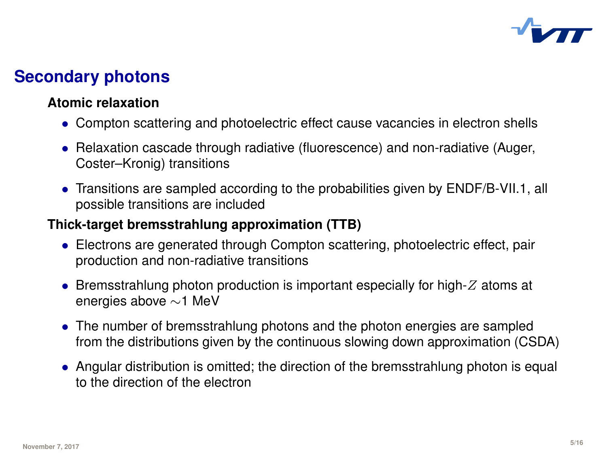

# **Secondary photons**

#### **Atomic relaxation**

- Compton scattering and photoelectric effect cause vacancies in electron shells
- Relaxation cascade through radiative (fluorescence) and non-radiative (Auger, Coster–Kronig) transitions
- Transitions are sampled according to the probabilities given by ENDF/B-VII.1, all possible transitions are included

#### **Thick-target bremsstrahlung approximation (TTB)**

- Electrons are generated through Compton scattering, photoelectric effect, pair production and non-radiative transitions
- Bremsstrahlung photon production is important especially for high- $Z$  atoms at energies above ∼1 MeV
- The number of bremsstrahlung photons and the photon energies are sampled from the distributions given by the continuous slowing down approximation (CSDA)
- Angular distribution is omitted; the direction of the bremsstrahlung photon is equal to the direction of the electron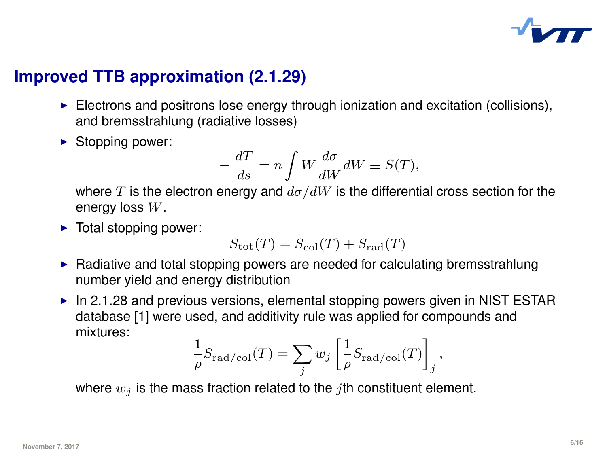

# **Improved TTB approximation (2.1.29)**

- $\blacktriangleright$  Electrons and positrons lose energy through ionization and excitation (collisions), and bremsstrahlung (radiative losses)
- $\blacktriangleright$  Stopping power:

$$
-\frac{dT}{ds} = n \int W \frac{d\sigma}{dW} dW \equiv S(T),
$$

where T is the electron energy and  $d\sigma/dW$  is the differential cross section for the energy loss  $W$ .

 $\blacktriangleright$  Total stopping power:

$$
S_{\rm tot}(T) = S_{\rm col}(T) + S_{\rm rad}(T)
$$

- $\blacktriangleright$  Radiative and total stopping powers are needed for calculating bremsstrahlung number yield and energy distribution
- In 2.1.28 and previous versions, elemental stopping powers given in NIST ESTAR database [1] were used, and additivity rule was applied for compounds and mixtures:

$$
\frac{1}{\rho} S_{\rm rad/col}(T) = \sum_j w_j \left[ \frac{1}{\rho} S_{\rm rad/col}(T) \right]_j,
$$

where  $w_i$  is the mass fraction related to the *j*th constituent element.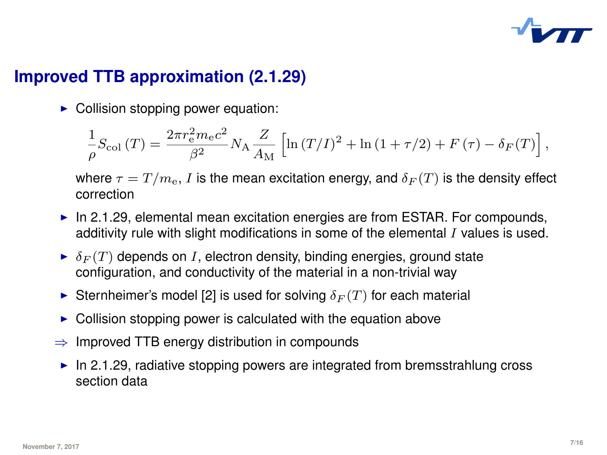

# **Improved TTB approximation (2.1.29)**

 $\triangleright$  Collision stopping power equation:

$$
\frac{1}{\rho}S_{\rm col}\left(T\right) = \frac{2\pi r_{\rm e}^2m_{\rm e}c^2}{\beta^2}N_{\rm A}\frac{Z}{A_{\rm M}}\left[\ln\left(T/I\right)^2+\ln\left(1+\tau/2\right)+F\left(\tau\right)-\delta_F(T)\right],
$$

where  $\tau = T/m_e$ , I is the mean excitation energy, and  $\delta_F(T)$  is the density effect correction

- $\blacktriangleright$  In 2.1.29, elemental mean excitation energies are from ESTAR. For compounds, additivity rule with slight modifications in some of the elemental  $I$  values is used.
- $\blacktriangleright$   $\delta_F(T)$  depends on I, electron density, binding energies, ground state configuration, and conductivity of the material in a non-trivial way
- Sternheimer's model [2] is used for solving  $\delta_F(T)$  for each material
- $\triangleright$  Collision stopping power is calculated with the equation above
- $\Rightarrow$  Improved TTB energy distribution in compounds
- In 2.1.29, radiative stopping powers are integrated from bremsstrahlung cross section data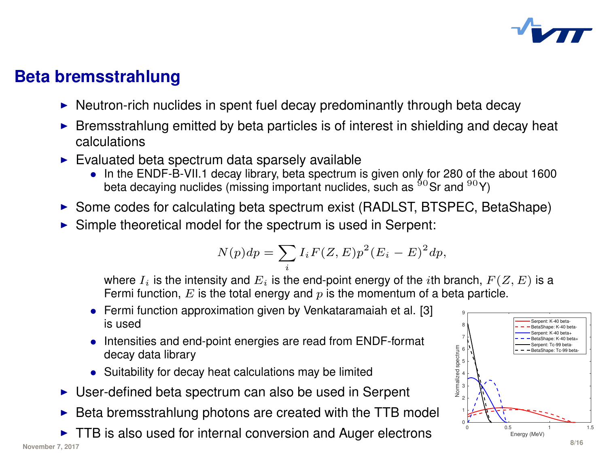

# **Beta bremsstrahlung**

- $\blacktriangleright$  Neutron-rich nuclides in spent fuel decay predominantly through beta decay
- $\triangleright$  Bremsstrahlung emitted by beta particles is of interest in shielding and decay heat calculations
- $\blacktriangleright$  Evaluated beta spectrum data sparsely available
	- In the ENDF-B-VII.1 decay library, beta spectrum is given only for 280 of the about 1600<br>beta decaying nuclides (missing important nuclides, such as <sup>90</sup>Sr and <sup>90</sup>Y)
- $\triangleright$  Some codes for calculating beta spectrum exist (RADLST, BTSPEC, BetaShape)
- $\triangleright$  Simple theoretical model for the spectrum is used in Serpent:

$$
N(p)dp = \sum_{i} I_i F(Z, E) p^2 (E_i - E)^2 dp,
$$

where  $I_i$  is the intensity and  $E_i$  is the end-point energy of the *i*th branch,  $F(Z, E)$  is a Fermi function, E is the total energy and  $p$  is the momentum of a beta particle.

- Fermi function approximation given by Venkataramaiah et al. [3] is used
- Intensities and end-point energies are read from ENDF-format decay data library
- Suitability for decay heat calculations may be limited
- $\triangleright$  User-defined beta spectrum can also be used in Serpent
- $\triangleright$  Beta bremsstrahlung photons are created with the TTB model
- $\triangleright$  TTB is also used for internal conversion and Auger electrons **November 7, 2017 8/16**

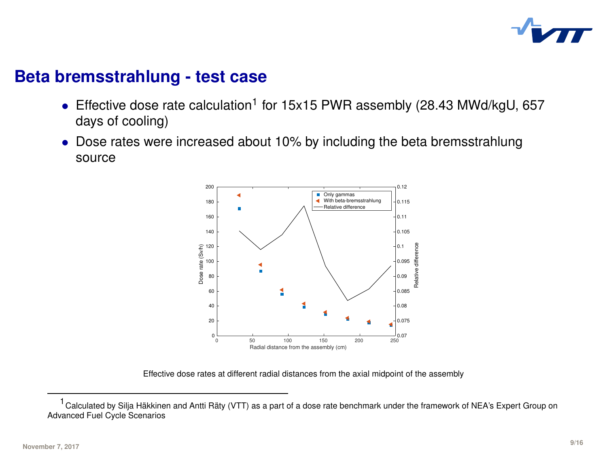

### **Beta bremsstrahlung - test case**

- Effective dose rate calculation<sup>1</sup> for 15x15 PWR assembly (28.43 MWd/kgU, 657 days of cooling)
- Dose rates were increased about 10% by including the beta bremsstrahlung source



Effective dose rates at different radial distances from the axial midpoint of the assembly

 $1$ Calculated by Silja Häkkinen and Antti Räty (VTT) as a part of a dose rate benchmark under the framework of NEA's Expert Group on Advanced Fuel Cycle Scenarios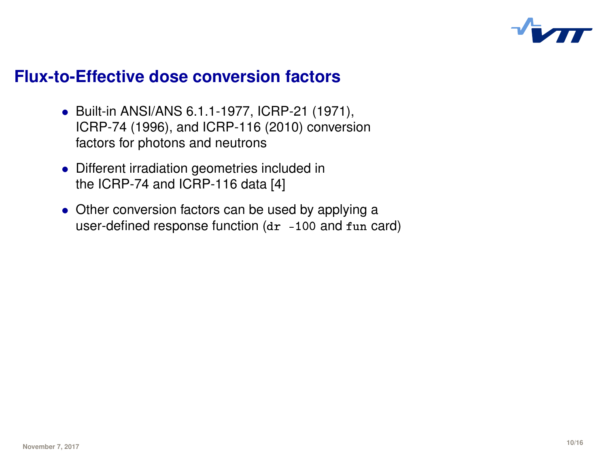

### **Flux-to-Effective dose conversion factors**

- Built-in ANSI/ANS 6.1.1-1977, ICRP-21 (1971), ICRP-74 (1996), and ICRP-116 (2010) conversion factors for photons and neutrons
- Different irradiation geometries included in the ICRP-74 and ICRP-116 data [4]
- Other conversion factors can be used by applying a user-defined response function  $(dr -100$  and  $fun$  card)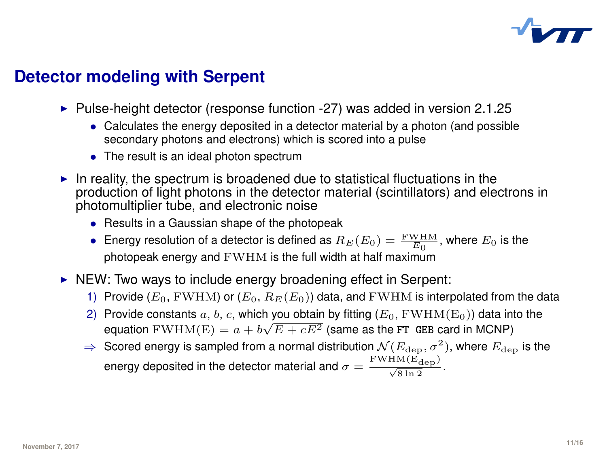

# **Detector modeling with Serpent**

- $\blacktriangleright$  Pulse-height detector (response function -27) was added in version 2.1.25
	- Calculates the energy deposited in a detector material by a photon (and possible secondary photons and electrons) which is scored into a pulse
	- The result is an ideal photon spectrum
- In reality, the spectrum is broadened due to statistical fluctuations in the production of light photons in the detector material (scintillators) and electrons in photomultiplier tube, and electronic noise
	- Results in a Gaussian shape of the photopeak
	- Energy resolution of a detector is defined as  $R_E(E_0) = \frac{FWHM}{E_0}$ , where  $E_0$  is the photopeak energy and FWHM is the full width at half maximum
- $\triangleright$  NEW: Two ways to include energy broadening effect in Serpent:
	- 1) Provide  $(E_0, \text{FWHM})$  or  $(E_0, R_E(E_0))$  data, and FWHM is interpolated from the data
	- 2) Provide constants a, b, c, which you obtain by fitting  $(E_0, FWHM(E_0))$  data into the equation FWHM(E)  $= a + b\sqrt{E + cE^2}$  (same as the FT GEB card in MCNP)
	- $\Rightarrow$  Scored energy is sampled from a normal distribution  $\mathcal{N}(E_{\text{dep}}, \sigma^2)$ , where  $E_{\text{dep}}$  is the energy deposited in the detector material and  $\sigma = \frac{\rm{FWHM}(E_{\rm{dep}})}{\sqrt{8 \ln 2}}$ .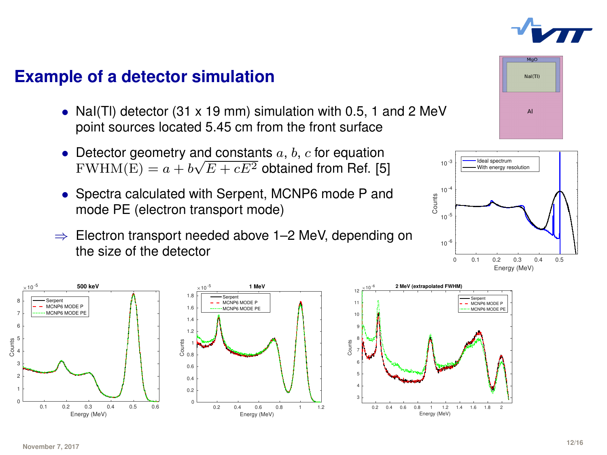

### **Example of a detector simulation**

- Nal(TI) detector (31 x 19 mm) simulation with 0.5, 1 and 2 MeV point sources located 5.45 cm from the front surface
- Detector geometry and constants  $a, b, c$  for equation Detector geometry and constants a, b, c for equation<br>FWHM(E) =  $a + b\sqrt{E + cE^2}$  obtained from Ref. [5]
- Spectra calculated with Serpent, MCNP6 mode P and mode PE (electron transport mode)
- ⇒ Electron transport needed above 1–2 MeV, depending on the size of the detector







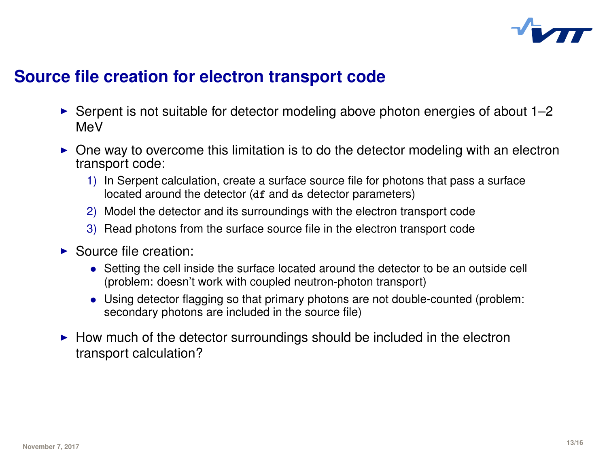

## **Source file creation for electron transport code**

- $\triangleright$  Serpent is not suitable for detector modeling above photon energies of about 1–2 MeV
- $\triangleright$  One way to overcome this limitation is to do the detector modeling with an electron transport code:
	- 1) In Serpent calculation, create a surface source file for photons that pass a surface located around the detector (df and ds detector parameters)
	- 2) Model the detector and its surroundings with the electron transport code
	- 3) Read photons from the surface source file in the electron transport code
- **B** Source file creation:
	- Setting the cell inside the surface located around the detector to be an outside cell (problem: doesn't work with coupled neutron-photon transport)
	- Using detector flagging so that primary photons are not double-counted (problem: secondary photons are included in the source file)
- $\blacktriangleright$  How much of the detector surroundings should be included in the electron transport calculation?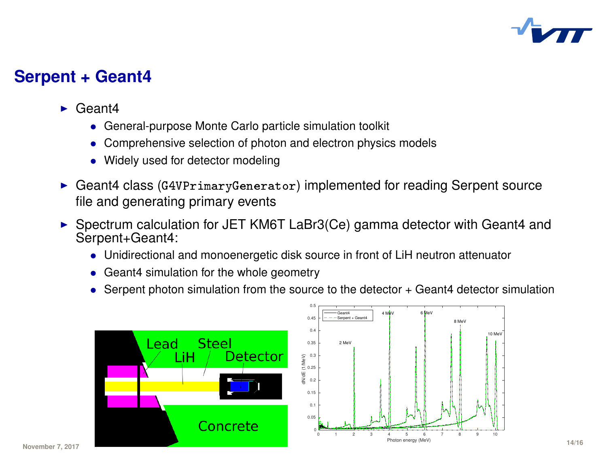

### **Serpent + Geant4**

- $\blacktriangleright$  Geant4
	- General-purpose Monte Carlo particle simulation toolkit
	- Comprehensive selection of photon and electron physics models
	- Widely used for detector modeling
- ► Geant4 class (G4VPrimaryGenerator) implemented for reading Serpent source file and generating primary events
- ▶ Spectrum calculation for JET KM6T LaBr3(Ce) gamma detector with Geant4 and Serpent+Geant4:
	- Unidirectional and monoenergetic disk source in front of LiH neutron attenuator
	- Geant4 simulation for the whole geometry
	- Serpent photon simulation from the source to the detector + Geant4 detector simulation

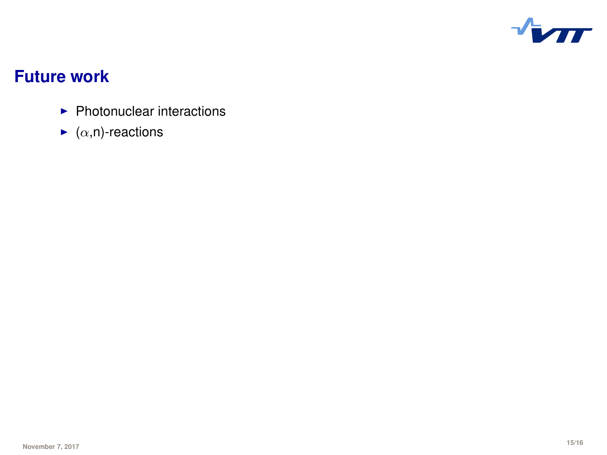

# **Future work**

- $\blacktriangleright$  Photonuclear interactions
- $\blacktriangleright$  ( $\alpha$ ,n)-reactions